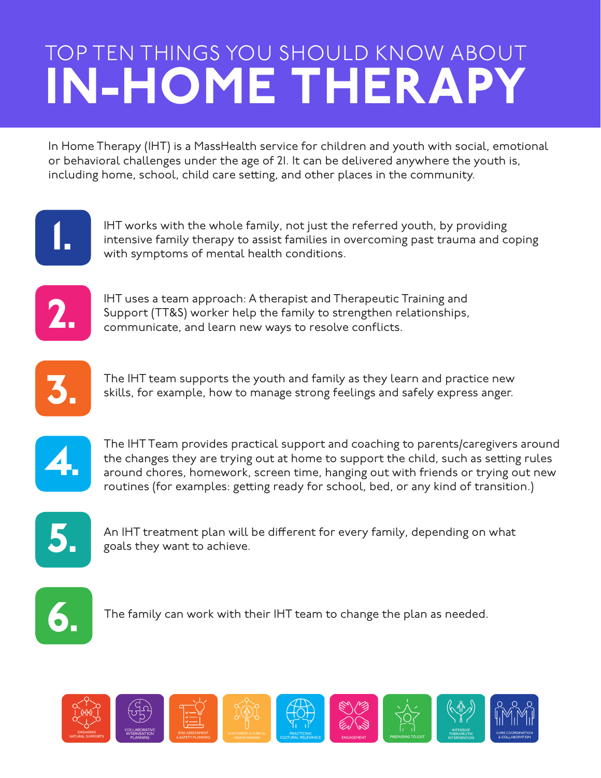## TOP TEN THINGS YOU SHOULD KNOW ABOUT IN-HOME THERAPY

In Home Therapy (IHT) is a MassHealth service for children and youth with social, emotional or behavioral challenges under the age of 21. It can be delivered anywhere the youth is, including home, school, child care setting, and other places in the community.



IHT works with the whole family, not just the referred youth, by providing<br>
intensive family therapy to assist families in overcoming past trauma and conditions. intensive family therapy to assist families in overcoming past trauma and coping



IHT uses a team approach: A therapist and Therapeutic Training and Support (TT&S) worker help the family to strengthen relationships, communicate, and learn new ways to resolve conflicts.



The IHT team supports the youth and family as they learn and practice new<br>skills, for example, how to manage strong feelings and safely express anger.



The IHT Team provides practical support and coaching to parents/caregivers around<br>the changes they are trying out at home to support the child, such as setting rules<br>around chores, homework, screen time, hanging out with f the changes they are trying out at home to support the child, such as setting rules routines (for examples: getting ready for school, bed, or any kind of transition.)



An IHT treatment plan will be different for every family, depending on what goals they want to achieve.



The family can work with their IHT team to change the plan as needed.